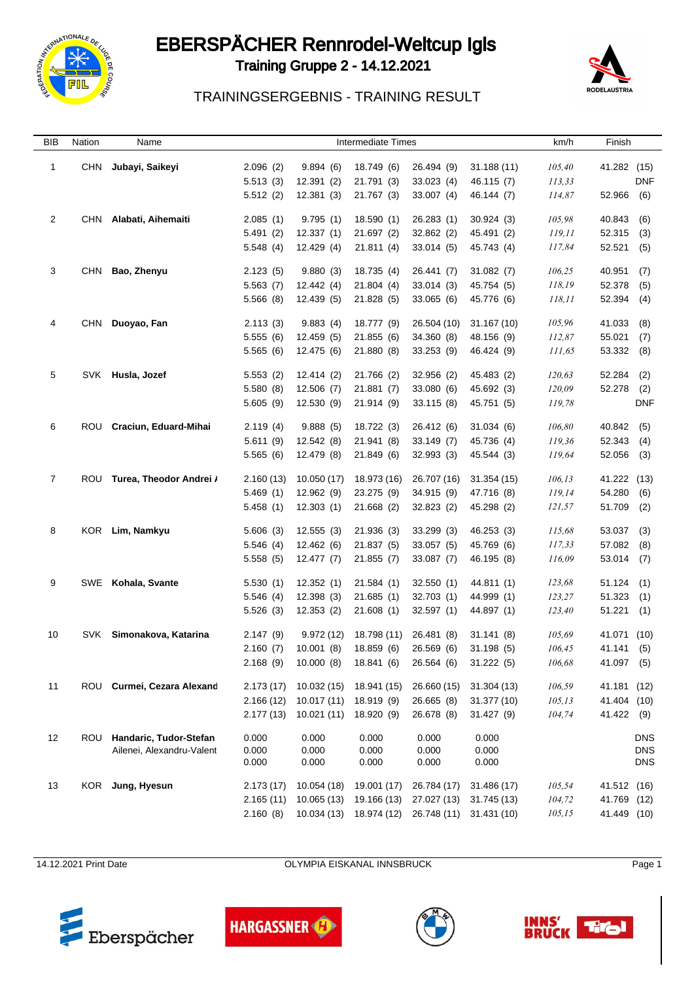

### EBERSPÄCHER Rennrodel-Weltcup Igls

Training Gruppe 2 - 14.12.2021



#### TRAININGSERGEBNIS - TRAINING RESULT

| BIB            | Nation     | Name                        |                      |                        | <b>Intermediate Times</b> |                           |                           | km/h             | Finish           |                          |
|----------------|------------|-----------------------------|----------------------|------------------------|---------------------------|---------------------------|---------------------------|------------------|------------------|--------------------------|
| $\mathbf{1}$   | <b>CHN</b> | Jubayi, Saikeyi             | 2.096(2)             | 9.894(6)               | 18.749 (6)                | 26.494 (9)                | 31.188(11)                | 105,40           | 41.282 (15)      |                          |
|                |            |                             | 5.513(3)             | 12.391(2)              | 21.791 (3)                | 33.023(4)                 | 46.115 (7)                | 113,33           |                  | <b>DNF</b>               |
|                |            |                             | 5.512(2)             | 12.381(3)              | 21.767 (3)                | 33.007(4)                 | 46.144 (7)                | 114,87           | 52.966           | (6)                      |
|                |            |                             |                      |                        |                           |                           |                           |                  |                  |                          |
| $\overline{2}$ | <b>CHN</b> | Alabati, Aihemaiti          | 2.085(1)             | 9.795(1)               | 18.590(1)                 | 26.283(1)                 | 30.924(3)                 | 105,98           | 40.843           | (6)                      |
|                |            |                             | 5.491(2)             | 12.337(1)              | 21.697(2)                 | 32.862 (2)                | 45.491 (2)                | 119,11           | 52.315           | (3)                      |
|                |            |                             | 5.548(4)             | 12.429 (4)             | 21.811(4)                 | 33.014(5)                 | 45.743 (4)                | 117,84           | 52.521           | (5)                      |
| 3              | <b>CHN</b> | Bao, Zhenyu                 | 2.123(5)             | 9.880(3)               | 18.735 (4)                | 26.441 (7)                | 31.082(7)                 | 106,25           | 40.951           | (7)                      |
|                |            |                             | 5.563(7)             | 12.442 (4)             | 21.804(4)                 | 33.014(3)                 | 45.754 (5)                | 118,19           | 52.378           | (5)                      |
|                |            |                             | 5.566(8)             | 12.439 (5)             | 21.828 (5)                | 33.065(6)                 | 45.776 (6)                | 118,11           | 52.394           | (4)                      |
| 4              | <b>CHN</b> | Duoyao, Fan                 |                      |                        |                           |                           |                           |                  |                  |                          |
|                |            |                             | 2.113(3)<br>5.555(6) | 9.883(4)<br>12.459 (5) | 18.777 (9)<br>21.855(6)   | 26.504 (10)<br>34.360 (8) | 31.167 (10)<br>48.156 (9) | 105,96<br>112,87 | 41.033<br>55.021 | (8)                      |
|                |            |                             | 5.565(6)             | 12.475 (6)             | 21.880 (8)                | 33.253 (9)                | 46.424 (9)                | 111,65           | 53.332           | (7)<br>(8)               |
|                |            |                             |                      |                        |                           |                           |                           |                  |                  |                          |
| 5              | SVK        | Husla, Jozef                | 5.553(2)             | 12.414(2)              | 21.766 (2)                | 32.956 (2)                | 45.483 (2)                | 120,63           | 52.284           | (2)                      |
|                |            |                             | 5.580(8)             | 12.506(7)              | 21.881(7)                 | 33.080 (6)                | 45.692 (3)                | 120,09           | 52.278           | (2)                      |
|                |            |                             | 5.605(9)             | 12.530(9)              | 21.914 (9)                | 33.115(8)                 | 45.751 (5)                | 119,78           |                  | <b>DNF</b>               |
| 6              | <b>ROU</b> | Craciun, Eduard-Mihai       | 2.119(4)             | 9.888(5)               | 18.722 (3)                | 26.412 (6)                | 31.034(6)                 | 106,80           | 40.842           | (5)                      |
|                |            |                             | 5.611(9)             | 12.542(8)              | 21.941 (8)                | 33.149(7)                 | 45.736 (4)                | 119,36           | 52.343           | (4)                      |
|                |            |                             | 5.565(6)             | 12.479 (8)             | 21.849 (6)                | 32.993(3)                 | 45.544 (3)                | 119,64           | 52.056           | (3)                      |
|                |            |                             |                      |                        |                           |                           |                           |                  |                  |                          |
| 7              |            | ROU Turea, Theodor Andrei / | 2.160(13)            | 10.050 (17)            | 18.973 (16)               | 26.707 (16)               | 31.354(15)                | 106,13           | 41.222 (13)      |                          |
|                |            |                             | 5.469(1)             | 12.962(9)              | 23.275 (9)                | 34.915 (9)                | 47.716 (8)                | 119,14           | 54.280           | (6)                      |
|                |            |                             | 5.458(1)             | 12.303(1)              | 21.668 (2)                | 32.823 (2)                | 45.298 (2)                | 121,57           | 51.709           | (2)                      |
| 8              | <b>KOR</b> | Lim, Namkyu                 | 5.606(3)             | 12.555(3)              | 21.936 (3)                | 33.299 (3)                | 46.253 (3)                | 115,68           | 53.037           | (3)                      |
|                |            |                             | 5.546(4)             | 12.462(6)              | 21.837 (5)                | 33.057(5)                 | 45.769 (6)                | 117,33           | 57.082           | (8)                      |
|                |            |                             | 5.558(5)             | 12.477(7)              | 21.855(7)                 | 33.087(7)                 | 46.195 (8)                | 116,09           | 53.014           | (7)                      |
|                |            |                             |                      |                        |                           |                           |                           |                  |                  |                          |
| 9              |            | SWE Kohala, Svante          | 5.530(1)             | 12.352(1)              | 21.584(1)                 | 32.550(1)                 | 44.811 (1)                | 123,68           | 51.124           | (1)                      |
|                |            |                             | 5.546(4)             | 12.398(3)              | 21.685(1)                 | 32.703(1)                 | 44.999 (1)                | 123,27           | 51.323           | (1)                      |
|                |            |                             | 5.526(3)             | 12.353(2)              | 21.608(1)                 | 32.597 (1)                | 44.897 (1)                | 123,40           | 51.221(1)        |                          |
| 10             | SVK        | Simonakova, Katarina        | 2.147(9)             | 9.972(12)              | 18.798 (11)               | 26.481 (8)                | 31.141(8)                 | 105,69           | 41.071 (10)      |                          |
|                |            |                             | 2.160(7)             | 10.001(8)              | 18.859 (6)                | 26.569 (6)                | 31.198(5)                 | 106,45           | 41.141           | (5)                      |
|                |            |                             | 2.168(9)             | 10.000(8)              | 18.841 (6)                | 26.564 (6)                | 31.222(5)                 | 106,68           | 41.097 (5)       |                          |
| 11             |            | ROU Curmei, Cezara Alexand  | 2.173(17)            | 10.032 (15)            | 18.941 (15)               | 26.660 (15)               | 31.304(13)                | 106,59           | 41.181 (12)      |                          |
|                |            |                             | 2.166(12)            | 10.017 (11)            | 18.919 (9)                | 26.665 (8)                | 31.377 (10)               | 105, 13          | 41.404 (10)      |                          |
|                |            |                             | 2.177(13)            | 10.021(11)             | 18.920 (9)                | 26.678 (8)                | 31.427(9)                 | 104,74           | 41.422 (9)       |                          |
|                |            |                             |                      |                        |                           |                           |                           |                  |                  |                          |
| 12             |            | ROU Handaric, Tudor-Stefan  | 0.000                | 0.000                  | 0.000                     | 0.000                     | 0.000                     |                  |                  | <b>DNS</b>               |
|                |            | Ailenei, Alexandru-Valent   | 0.000<br>0.000       | 0.000<br>0.000         | 0.000<br>0.000            | 0.000<br>0.000            | 0.000<br>0.000            |                  |                  | <b>DNS</b><br><b>DNS</b> |
|                |            |                             |                      |                        |                           |                           |                           |                  |                  |                          |
| 13             |            | KOR Jung, Hyesun            | 2.173(17)            | 10.054 (18)            | 19.001 (17)               | 26.784 (17)               | 31.486 (17)               | 105,54           | 41.512 (16)      |                          |
|                |            |                             | 2.165(11)            | 10.065 (13)            | 19.166 (13)               | 27.027 (13)               | 31.745 (13)               | 104,72           | 41.769 (12)      |                          |
|                |            |                             | 2.160(8)             | 10.034 (13)            | 18.974 (12)               |                           | 26.748 (11) 31.431 (10)   | 105, 15          | 41.449 (10)      |                          |

14.12.2021 Print Date **Date COLYMPIA EISKANAL INNSBRUCK** Page 1







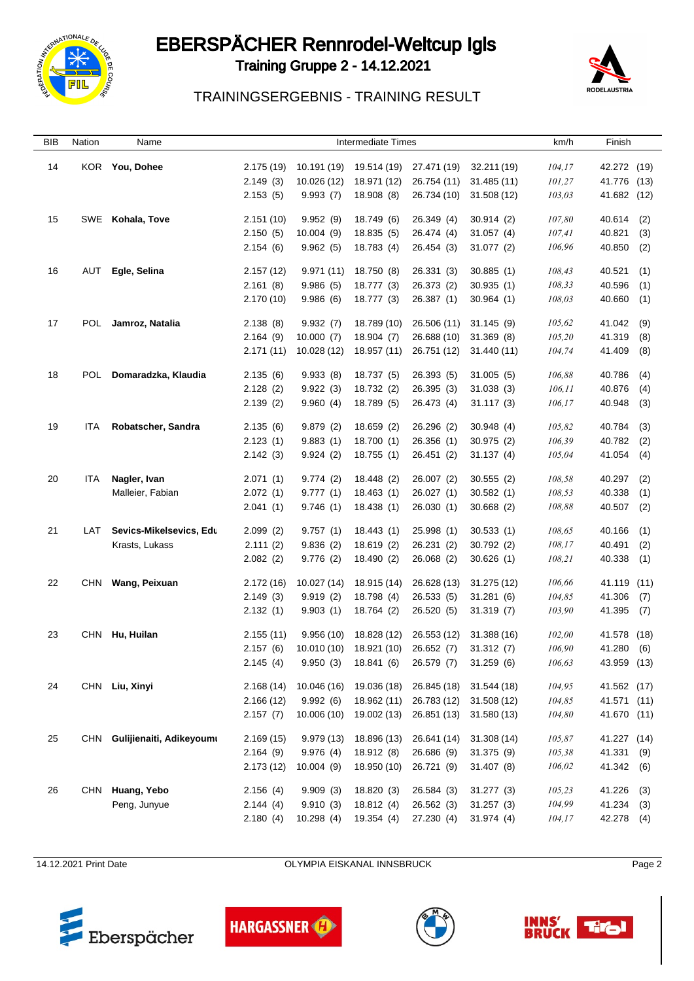

# EBERSPÄCHER Rennrodel-Weltcup Igls

Training Gruppe 2 - 14.12.2021



#### TRAININGSERGEBNIS - TRAINING RESULT

| BIB | Nation     | Name                     |                      |                      | <b>Intermediate Times</b> |             |                        | km/h             | Finish           |            |
|-----|------------|--------------------------|----------------------|----------------------|---------------------------|-------------|------------------------|------------------|------------------|------------|
| 14  | <b>KOR</b> | You, Dohee               | 2.175 (19)           | 10.191 (19)          | 19.514 (19)               | 27.471 (19) | 32.211 (19)            | 104, 17          | 42.272 (19)      |            |
|     |            |                          | 2.149(3)             | 10.026 (12)          | 18.971 (12)               | 26.754 (11) | 31.485 (11)            | 101,27           | 41.776           | (13)       |
|     |            |                          | 2.153(5)             | 9.993(7)             | 18.908(8)                 | 26.734 (10) | 31.508 (12)            | 103,03           | 41.682 (12)      |            |
|     |            |                          |                      |                      |                           |             |                        |                  |                  |            |
| 15  |            | SWE Kohala, Tove         | 2.151(10)            | 9.952(9)             | 18.749 (6)                | 26.349 (4)  | 30.914(2)              | 107,80           | 40.614           | (2)        |
|     |            |                          | 2.150(5)             | 10.004(9)            | 18.835(5)                 | 26.474 (4)  | 31.057(4)              | 107,41           | 40.821           | (3)        |
|     |            |                          | 2.154(6)             | 9.962(5)             | 18.783 (4)                | 26.454 (3)  | 31.077(2)              | 106,96           | 40.850           | (2)        |
| 16  | AUT        | Egle, Selina             | 2.157(12)            | 9.971(11)            | 18.750 (8)                | 26.331 (3)  | 30.885(1)              | 108,43           | 40.521           | (1)        |
|     |            |                          | 2.161(8)             | 9.986(5)             | 18.777 (3)                | 26.373 (2)  | 30.935(1)              | 108,33           | 40.596           | (1)        |
|     |            |                          | 2.170(10)            | 9.986(6)             | 18.777 (3)                | 26.387 (1)  | 30.964(1)              | 108,03           | 40.660           | (1)        |
| 17  | POL        | Jamroz, Natalia          | 2.138(8)             | 9.932(7)             | 18.789 (10)               | 26.506 (11) | 31.145(9)              | 105,62           | 41.042           | (9)        |
|     |            |                          | 2.164(9)             | 10.000(7)            | 18.904 (7)                | 26.688 (10) | 31.369(8)              | 105,20           | 41.319           | (8)        |
|     |            |                          | 2.171(11)            | 10.028 (12)          | 18.957 (11)               | 26.751 (12) | 31.440 (11)            | 104,74           | 41.409           | (8)        |
|     |            |                          |                      |                      |                           |             |                        |                  |                  |            |
| 18  | POL        | Domaradzka, Klaudia      | 2.135(6)             | 9.933(8)             | 18.737 (5)                | 26.393 (5)  | 31.005(5)              | 106,88           | 40.786           | (4)        |
|     |            |                          | 2.128(2)             | 9.922(3)             | 18.732 (2)                | 26.395 (3)  | 31.038(3)              | 106,11           | 40.876           | (4)        |
|     |            |                          | 2.139(2)             | 9.960(4)             | 18.789 (5)                | 26.473 (4)  | 31.117(3)              | 106,17           | 40.948           | (3)        |
| 19  | <b>ITA</b> | Robatscher, Sandra       | 2.135(6)             | 9.879(2)             | 18.659(2)                 | 26.296 (2)  | 30.948(4)              | 105,82           | 40.784           | (3)        |
|     |            |                          | 2.123(1)             | 9.883(1)             | 18.700 (1)                | 26.356 (1)  | 30.975(2)              | 106,39           | 40.782           | (2)        |
|     |            |                          | 2.142(3)             | 9.924(2)             | 18.755 (1)                | 26.451 (2)  | 31.137(4)              | 105,04           | 41.054           | (4)        |
| 20  | ITA        | Nagler, Ivan             | 2.071(1)             | 9.774(2)             | 18.448 (2)                | 26.007 (2)  | 30.555(2)              | 108,58           | 40.297           | (2)        |
|     |            | Malleier, Fabian         | 2.072(1)             | 9.777(1)             | 18.463(1)                 | 26.027 (1)  | 30.582(1)              | 108,53           | 40.338           | (1)        |
|     |            |                          | 2.041(1)             | 9.746(1)             | 18.438(1)                 | 26.030(1)   | 30.668(2)              | 108,88           | 40.507           | (2)        |
| 21  | LAT        | Sevics-Mikelsevics, Edu  |                      |                      |                           | 25.998 (1)  |                        |                  |                  |            |
|     |            | Krasts, Lukass           | 2.099(2)<br>2.111(2) | 9.757(1)<br>9.836(2) | 18.443 (1)<br>18.619 (2)  | 26.231 (2)  | 30.533(1)<br>30.792(2) | 108,65<br>108,17 | 40.166<br>40.491 | (1)<br>(2) |
|     |            |                          | 2.082(2)             | 9.776(2)             | 18.490 (2)                | 26.068 (2)  | 30.626(1)              | 108,21           | 40.338           | (1)        |
|     |            |                          |                      |                      |                           |             |                        |                  |                  |            |
| 22  | CHN        | Wang, Peixuan            | 2.172(16)            | 10.027 (14)          | 18.915 (14)               | 26.628 (13) | 31.275 (12)            | 106,66           | 41.119           | (11)       |
|     |            |                          | 2.149(3)             | 9.919(2)             | 18.798 (4)                | 26.533 (5)  | 31.281(6)              | 104,85           | 41.306           | (7)        |
|     |            |                          | 2.132(1)             | 9.903(1)             | 18.764 (2)                | 26.520 (5)  | 31.319(7)              | 103,90           | 41.395           | (7)        |
| 23  | CHN        | Hu, Huilan               | 2.155(11)            | 9.956(10)            | 18.828 (12)               | 26.553 (12) | 31.388 (16)            | 102,00           | 41.578           | (18)       |
|     |            |                          | 2.157(6)             | 10.010 (10)          | 18.921 (10)               | 26.652 (7)  | 31.312(7)              | 106,90           | 41.280           | (6)        |
|     |            |                          | 2.145(4)             | 9.950(3)             | 18.841 (6)                | 26.579 (7)  | 31.259(6)              | 106,63           | 43.959 (13)      |            |
| 24  |            | CHN Liu, Xinyi           | 2.168(14)            | 10.046 (16)          | 19.036 (18)               | 26.845 (18) | 31.544 (18)            | 104,95           | 41.562 (17)      |            |
|     |            |                          | 2.166(12)            | 9.992(6)             | 18.962 (11)               | 26.783 (12) | 31.508 (12)            | 104,85           | 41.571 (11)      |            |
|     |            |                          | 2.157(7)             | 10.006 (10)          | 19.002 (13)               | 26.851 (13) | 31.580 (13)            | 104,80           | 41.670 (11)      |            |
|     |            |                          |                      |                      |                           |             |                        |                  |                  |            |
| 25  | CHN        | Gulijienaiti, Adikeyoumı | 2.169(15)            | 9.979(13)            | 18.896 (13)               | 26.641 (14) | 31.308 (14)            | 105,87           | 41.227 (14)      |            |
|     |            |                          | 2.164(9)             | 9.976(4)             | 18.912 (8)                | 26.686 (9)  | 31.375 (9)             | 105,38           | 41.331           | (9)        |
|     |            |                          | 2.173(12)            | 10.004(9)            | 18.950 (10)               | 26.721 (9)  | 31.407(8)              | 106,02           | 41.342           | (6)        |
| 26  | CHN        | Huang, Yebo              | 2.156(4)             | 9.909(3)             | 18.820 (3)                | 26.584 (3)  | 31.277(3)              | 105,23           | 41.226           | (3)        |
|     |            | Peng, Junyue             | 2.144(4)             | 9.910(3)             | 18.812 (4)                | 26.562 (3)  | 31.257 (3)             | 104,99           | 41.234           | (3)        |
|     |            |                          | 2.180(4)             | 10.298(4)            | 19.354 (4)                | 27.230 (4)  | 31.974 (4)             | 104, 17          | 42.278           | (4)        |
|     |            |                          |                      |                      |                           |             |                        |                  |                  |            |

14.12.2021 Print Date **OLYMPIA EISKANAL INNSBRUCK** Page 2